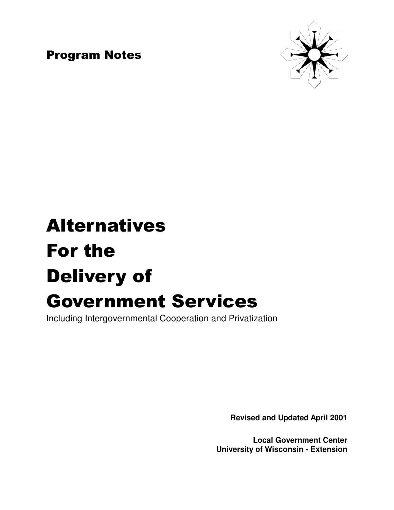**Program Notes** 



# **Alternatives** For the **Delivery of Government Services**

Including Intergovernmental Cooperation and Privatization

**Revised and Updated April 2001**

**Local Government Center University of Wisconsin - Extension**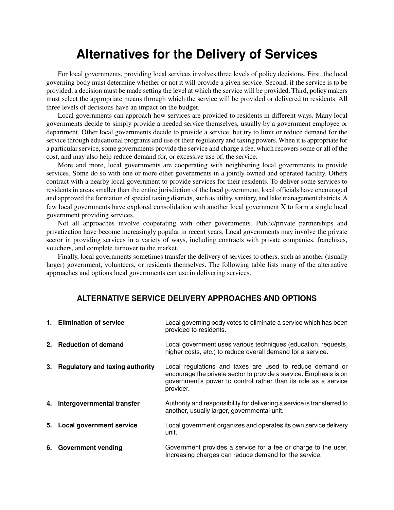# **Alternatives for the Delivery of Services**

For local governments, providing local services involves three levels of policy decisions. First, the local governing body must determine whether or not it will provide a given service. Second, if the service is to be provided, a decision must be made setting the level at which the service will be provided. Third, policymakers must select the appropriate means through which the service will be provided or delivered to residents. All three levels of decisions have an impact on the budget.

Local governments can approach how services are provided to residents in different ways. Many local governments decide to simply provide a needed service themselves, usually by a government employee or department. Other local governments decide to provide a service, but try to limit or reduce demand for the service through educational programs and use of their regulatory and taxing powers. When it is appropriate for a particular service, some governments provide the service and charge a fee, which recovers some or all of the cost, and may also help reduce demand for, or excessive use of, the service.

More and more, local governments are cooperating with neighboring local governments to provide services. Some do so with one or more other governments in a jointly owned and operated facility. Others contract with a nearby local government to provide services for their residents. To deliver some services to residents in areas smaller than the entire jurisdiction of the local government, local officials have encouraged and approved the formation of special taxing districts, such as utility, sanitary, and lake management districts. A few local governments have explored consolidation with another local government Χ to form a single local government providing services.

Not all approaches involve cooperating with other governments. Public/private partnerships and privatization have become increasingly popular in recent years. Local governments may involve the private sector in providing services in a variety of ways, including contracts with private companies, franchises, vouchers, and complete turnover to the market.

Finally, local governments sometimes transfer the delivery of services to others, such as another (usually larger) government, volunteers, or residents themselves. The following table lists many of the alternative approaches and options local governments can use in delivering services.

# **ALTERNATIVE SERVICE DELIVERY APPROACHES AND OPTIONS**

| 1. Elimination of service          | Local governing body votes to eliminate a service which has been<br>provided to residents.                                                                                                                    |
|------------------------------------|---------------------------------------------------------------------------------------------------------------------------------------------------------------------------------------------------------------|
| 2. Reduction of demand             | Local government uses various techniques (education, requests,<br>higher costs, etc.) to reduce overall demand for a service.                                                                                 |
| 3. Regulatory and taxing authority | Local regulations and taxes are used to reduce demand or<br>encourage the private sector to provide a service. Emphasis is on<br>government's power to control rather than its role as a service<br>provider. |
| 4. Intergovernmental transfer      | Authority and responsibility for delivering a service is transferred to<br>another, usually larger, governmental unit.                                                                                        |
| 5. Local government service        | Local government organizes and operates its own service delivery<br>unit.                                                                                                                                     |
| 6. Government vending              | Government provides a service for a fee or charge to the user.<br>Increasing charges can reduce demand for the service.                                                                                       |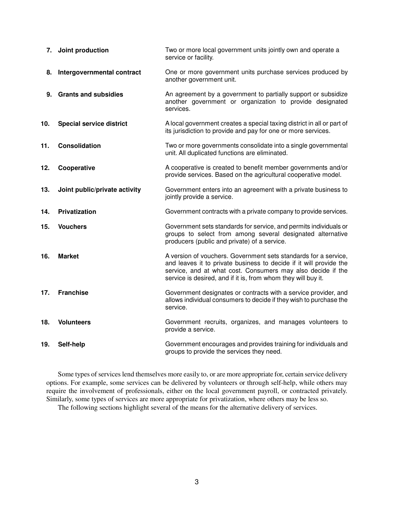| 7.  | Joint production                | Two or more local government units jointly own and operate a<br>service or facility.                                                                                                                                                                                  |
|-----|---------------------------------|-----------------------------------------------------------------------------------------------------------------------------------------------------------------------------------------------------------------------------------------------------------------------|
| 8.  | Intergovernmental contract      | One or more government units purchase services produced by<br>another government unit.                                                                                                                                                                                |
| 9.  | <b>Grants and subsidies</b>     | An agreement by a government to partially support or subsidize<br>another government or organization to provide designated<br>services.                                                                                                                               |
| 10. | <b>Special service district</b> | A local government creates a special taxing district in all or part of<br>its jurisdiction to provide and pay for one or more services.                                                                                                                               |
| 11. | <b>Consolidation</b>            | Two or more governments consolidate into a single governmental<br>unit. All duplicated functions are eliminated.                                                                                                                                                      |
| 12. | Cooperative                     | A cooperative is created to benefit member governments and/or<br>provide services. Based on the agricultural cooperative model.                                                                                                                                       |
| 13. | Joint public/private activity   | Government enters into an agreement with a private business to<br>jointly provide a service.                                                                                                                                                                          |
| 14. | <b>Privatization</b>            | Government contracts with a private company to provide services.                                                                                                                                                                                                      |
| 15. | <b>Vouchers</b>                 | Government sets standards for service, and permits individuals or<br>groups to select from among several designated alternative<br>producers (public and private) of a service.                                                                                       |
| 16. | <b>Market</b>                   | A version of vouchers. Government sets standards for a service,<br>and leaves it to private business to decide if it will provide the<br>service, and at what cost. Consumers may also decide if the<br>service is desired, and if it is, from whom they will buy it. |
| 17. | <b>Franchise</b>                | Government designates or contracts with a service provider, and<br>allows individual consumers to decide if they wish to purchase the<br>service.                                                                                                                     |
| 18. | <b>Volunteers</b>               | Government recruits, organizes, and manages volunteers to<br>provide a service.                                                                                                                                                                                       |
| 19. | Self-help                       | Government encourages and provides training for individuals and<br>groups to provide the services they need.                                                                                                                                                          |

Some types of services lend themselves more easily to, or are more appropriate for, certain service delivery options. For example, some services can be delivered by volunteers or through self-help, while others may require the involvement of professionals, either on the local government payroll, or contracted privately. Similarly, some types of services are more appropriate for privatization, where others may be less so.

The following sections highlight several of the means for the alternative delivery of services.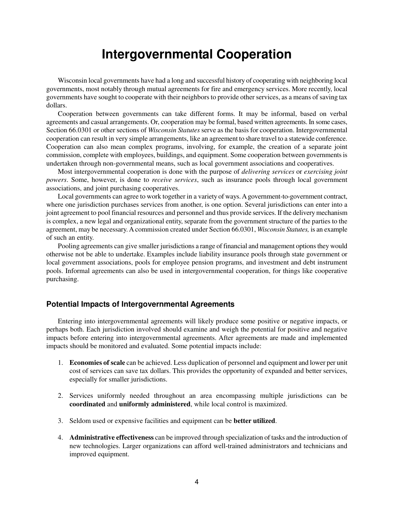# **Intergovernmental Cooperation**

Wisconsin local governments have had a long and successful history of cooperating with neighboring local governments, most notably through mutual agreements for fire and emergency services. More recently, local governments have sought to cooperate with their neighbors to provide other services, as a means of saving tax dollars.

Cooperation between governments can take different forms. It may be informal, based on verbal agreements and casual arrangements. Or, cooperation may be formal, based written agreements. In some cases, Section 66.0301 or other sections of *Wisconsin Statutes* serve as the basis for cooperation. Intergovernmental cooperation can result in very simple arrangements, like an agreement to share travel to a statewide conference. Cooperation can also mean complex programs, involving, for example, the creation of a separate joint commission, complete with employees, buildings, and equipment. Some cooperation between governmentsis undertaken through non-governmental means, such as local government associations and cooperatives.

Most intergovernmental cooperation is done with the purpose of *delivering services* or *exercising joint powers*. Some, however, is done to *receive services*, such as insurance pools through local government associations, and joint purchasing cooperatives.

Local governments can agree to work together in a variety of ways. A government-to-government contract, where one jurisdiction purchases services from another, is one option. Several jurisdictions can enter into a joint agreement to pool financial resources and personnel and thus provide services. If the deliverymechanism is complex, a new legal and organizational entity, separate from the government structure of the parties to the agreement, may be necessary. A commission created under Section 66.0301, *Wisconsin Statutes,* is an example of such an entity.

Pooling agreements can give smaller jurisdictions a range of financial and management options they would otherwise not be able to undertake. Examples include liability insurance pools through state government or local government associations, pools for employee pension programs, and investment and debt instrument pools. Informal agreements can also be used in intergovernmental cooperation, for things like cooperative purchasing.

# **Potential Impacts of Intergovernmental Agreements**

Entering into intergovernmental agreements will likely produce some positive or negative impacts, or perhaps both. Each jurisdiction involved should examine and weigh the potential for positive and negative impacts before entering into intergovernmental agreements. After agreements are made and implemented impacts should be monitored and evaluated. Some potential impacts include:

- 1. **Economies of scale** can be achieved. Less duplication of personnel and equipment and lower per unit cost of services can save tax dollars. This provides the opportunity of expanded and better services, especially for smaller jurisdictions.
- 2. Services uniformly needed throughout an area encompassing multiple jurisdictions can be **coordinated** and **uniformly administered**, while local control is maximized.
- 3. Seldom used or expensive facilities and equipment can be **better utilized**.
- 4. **Administrative effectiveness** can be improved through specialization of tasks and the introduction of new technologies. Larger organizations can afford well-trained administrators and technicians and improved equipment.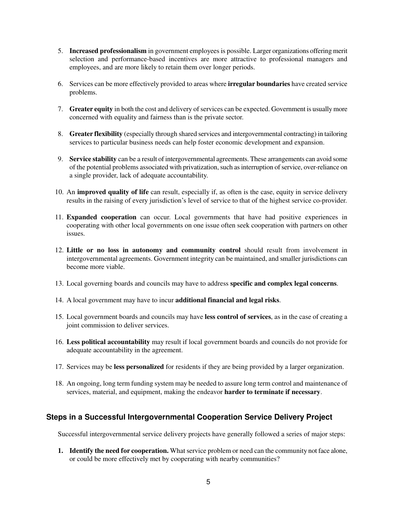- 5. **Increased professionalism** in government employees is possible. Larger organizations offering merit selection and performance-based incentives are more attractive to professional managers and employees, and are more likely to retain them over longer periods.
- 6. Services can be more effectively provided to areas where **irregular boundaries** have created service problems.
- 7. **Greater equity** in both the cost and delivery of services can be expected. Government is usuallymore concerned with equality and fairness than is the private sector.
- 8. **Greater flexibility** (especially through shared services and intergovernmental contracting) in tailoring services to particular business needs can help foster economic development and expansion.
- 9. **Service stability** can be a result of intergovernmental agreements. These arrangements can avoid some of the potential problems associated with privatization, such as interruption of service, over-reliance on a single provider, lack of adequate accountability.
- 10. An **improved quality of life** can result, especially if, as often is the case, equity in service delivery results in the raising of every jurisdiction's level of service to that of the highest service co-provider.
- 11. **Expanded cooperation** can occur. Local governments that have had positive experiences in cooperating with other local governments on one issue often seek cooperation with partners on other issues.
- 12. **Little or no loss in autonomy and community control** should result from involvement in intergovernmental agreements. Government integrity can be maintained, and smaller jurisdictions can become more viable.
- 13. Local governing boards and councils may have to address **specific and complex legal concerns**.
- 14. A local government may have to incur **additional financial and legal risks**.
- 15. Local government boards and councils may have **less control of services**, as in the case of creating a joint commission to deliver services.
- 16. **Less political accountability** may result if local government boards and councils do not provide for adequate accountability in the agreement.
- 17. Services may be **less personalized** for residents if they are being provided by a larger organization.
- 18. An ongoing, long term funding system may be needed to assure long term control and maintenance of services, material, and equipment, making the endeavor **harder to terminate if necessary**.

# **Steps in a Successful Intergovernmental Cooperation Service Delivery Project**

Successful intergovernmental service delivery projects have generally followed a series of major steps:

**1. Identify the need for cooperation.** What service problem or need can the community not face alone, or could be more effectively met by cooperating with nearby communities?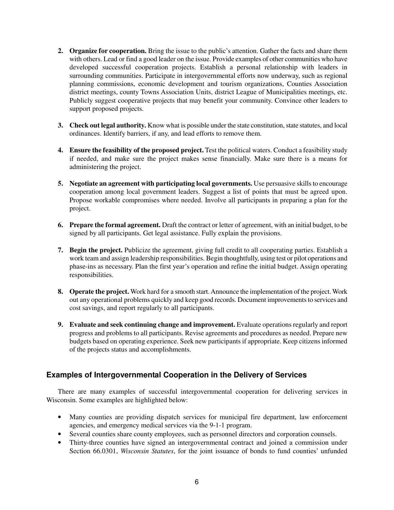- **2. Organize for cooperation.** Bring the issue to the public's attention. Gather the facts and share them with others. Lead or find a good leader on the issue. Provide examples of other communities who have developed successful cooperation projects. Establish a personal relationship with leaders in surrounding communities. Participate in intergovernmental efforts now underway, such as regional planning commissions, economic development and tourism organizations, Counties Association district meetings, county Towns Association Units, district League of Municipalities meetings, etc. Publicly suggest cooperative projects that may benefit your community. Convince other leaders to support proposed projects.
- **3.** Check out legal authority. Know what is possible under the state constitution, state statutes, and local ordinances. Identify barriers, if any, and lead efforts to remove them.
- **4. Ensure the feasibility of the proposed project.** Test the political waters. Conduct a feasibility study if needed, and make sure the project makes sense financially. Make sure there is a means for administering the project.
- **5. Negotiate an agreement with participating local governments.** Use persuasive skills to encourage cooperation among local government leaders. Suggest a list of points that must be agreed upon. Propose workable compromises where needed. Involve all participants in preparing a plan for the project.
- **6. Prepare the formal agreement.** Draft the contract or letter of agreement, with an initial budget, to be signed by all participants. Get legal assistance. Fully explain the provisions.
- **7. Begin the project.** Publicize the agreement, giving full credit to all cooperating parties. Establish a work team and assign leadership responsibilities. Begin thoughtfully, using test or pilot operations and phase-ins as necessary. Plan the first year's operation and refine the initial budget. Assign operating responsibilities.
- **8. Operate the project.** Work hard for a smooth start.Announce the implementation of the project. Work out any operational problems quickly and keep good records. Document improvementsto services and cost savings, and report regularly to all participants.
- **9. Evaluate and seek continuing change and improvement.** Evaluate operations regularly and report progress and problems to all participants. Revise agreements and procedures as needed. Prepare new budgets based on operating experience. Seek new participants if appropriate. Keep citizens informed of the projects status and accomplishments.

# **Examples of Intergovernmental Cooperation in the Delivery of Services**

There are many examples of successful intergovernmental cooperation for delivering services in Wisconsin. Some examples are highlighted below:

- Many counties are providing dispatch services for municipal fire department, law enforcement agencies, and emergency medical services via the 9-1-1 program.
- Several counties share county employees, such as personnel directors and corporation counsels.
- Thirty-three counties have signed an intergovernmental contract and joined a commission under Section 66.0301, *Wisconsin Statutes*, for the joint issuance of bonds to fund counties' unfunded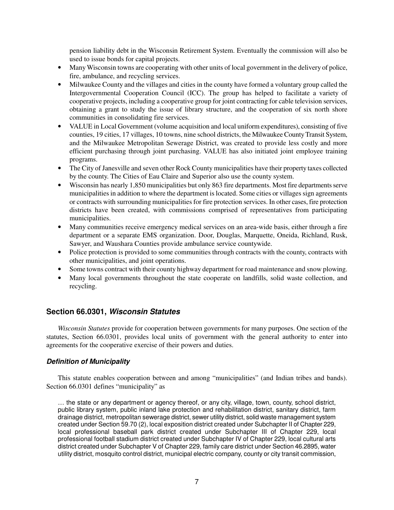pension liability debt in the Wisconsin Retirement System. Eventually the commission will also be used to issue bonds for capital projects.

- Many Wisconsin towns are cooperating with other units of local government in the delivery of police, fire, ambulance, and recycling services.
- Milwaukee County and the villages and cities in the county have formed a voluntary group called the Intergovernmental Cooperation Council (ICC). The group has helped to facilitate a variety of cooperative projects, including a cooperative group for joint contracting for cable television services, obtaining a grant to study the issue of library structure, and the cooperation of six north shore communities in consolidating fire services.
- VALUE in Local Government (volume acquisition and local uniform expenditures), consisting of five counties, 19 cities, 17 villages, 10 towns, nine school districts, the Milwaukee CountyTransit System, and the Milwaukee Metropolitan Sewerage District, was created to provide less costly and more efficient purchasing through joint purchasing. VALUE has also initiated joint employee training programs.
- The City of Janesville and seven other Rock County municipalities have their property taxes collected by the county. The Cities of Eau Claire and Superior also use the county system.
- Wisconsin has nearly 1.850 municipalities but only 863 fire departments. Most fire departments serve municipalities in addition to where the department is located. Some cities or villages sign agreements or contracts with surrounding municipalities for fire protection services. In other cases, fire protection districts have been created, with commissions comprised of representatives from participating municipalities.
- Many communities receive emergency medical services on an area-wide basis, either through a fire department or a separate EMS organization. Door, Douglas, Marquette, Oneida, Richland, Rusk, Sawyer, and Waushara Counties provide ambulance service countywide.
- Police protection is provided to some communities through contracts with the county, contracts with other municipalities, and joint operations.
- Some towns contract with their county highway department for road maintenance and snow plowing.
- Many local governments throughout the state cooperate on landfills, solid waste collection, and recycling.

# **Section 66.0301,** *Wisconsin Statutes*

*Wisconsin Statutes* provide for cooperation between governments for many purposes. One section of the statutes, Section 66.0301, provides local units of government with the general authority to enter into agreements for the cooperative exercise of their powers and duties.

### *Definition of Municipality*

This statute enables cooperation between and among "municipalities" (and Indian tribes and bands). Section 66.0301 defines "municipality" as

… the state or any department or agency thereof, or any city, village, town, county, school district, public library system, public inland lake protection and rehabilitation district, sanitary district, farm drainage district, metropolitan sewerage district, sewer utility district, solid waste management system created under Section 59.70 (2), local exposition district created under Subchapter II of Chapter 229, local professional baseball park district created under Subchapter III of Chapter 229, local professional football stadium district created under Subchapter IV of Chapter 229, local cultural arts district created under Subchapter V of Chapter 229, family care district under Section 46.2895, water utility district, mosquito control district, municipal electric company, county or city transit commission,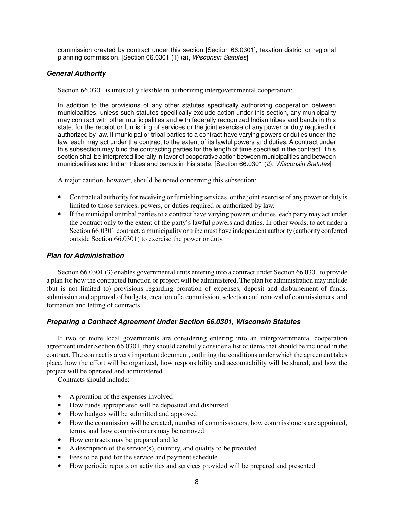commission created by contract under this section [Section 66.0301], taxation district or regional planning commission. [Section 66.0301 (1) (a), *Wisconsin Statutes*]

# *General Authority*

Section 66.0301 is unusually flexible in authorizing intergovernmental cooperation:

In addition to the provisions of any other statutes specifically authorizing cooperation between municipalities, unless such statutes specifically exclude action under this section, any municipality may contract with other municipalities and with federally recognized Indian tribes and bands in this state, for the receipt or furnishing of services or the joint exercise of any power or duty required or authorized by law. If municipal or tribal parties to a contract have varying powers or duties under the law, each may act under the contract to the extent of its lawful powers and duties. A contract under this subsection may bind the contracting parties for the length of time specified in the contract. This section shall be interpreted liberally in favor of cooperative action between municipalities and between municipalities and Indian tribes and bands in this state. [Section 66.0301 (2), *Wisconsin Statutes*]

A major caution, however, should be noted concerning this subsection:

- Contractual authority for receiving or furnishing services, or the joint exercise of any power or duty is limited to those services, powers, or duties required or authorized by law.
- If the municipal or tribal parties to a contract have varying powers or duties, each party may act under the contract only to the extent of the party's lawful powers and duties. In other words, to act under a Section 66.0301 contract, a municipality or tribe must have independent authority (authority conferred outside Section 66.0301) to exercise the power or duty.

# *Plan for Administration*

Section 66.0301 (3) enables governmental units entering into a contract under Section 66.0301 to provide a plan for how the contracted function or project will be administered. The plan for administration may include (but is not limited to) provisions regarding proration of expenses, deposit and disbursement of funds, submission and approval of budgets, creation of a commission, selection and removal of commissioners, and formation and letting of contracts.

### *Preparing a Contract Agreement Under Section 66.0301, Wisconsin Statutes*

If two or more local governments are considering entering into an intergovernmental cooperation agreement under Section 66.0301, they should carefully consider a list of items that should be included in the contract. The contract is a very important document, outlining the conditions under which the agreement takes place, how the effort will be organized, how responsibility and accountability will be shared, and how the project will be operated and administered.

Contracts should include:

- A proration of the expenses involved
- How funds appropriated will be deposited and disbursed
- How budgets will be submitted and approved
- How the commission will be created, number of commissioners, how commissioners are appointed, terms, and how commissioners may be removed
- How contracts may be prepared and let
- A description of the service(s), quantity, and quality to be provided
- Fees to be paid for the service and payment schedule
- How periodic reports on activities and services provided will be prepared and presented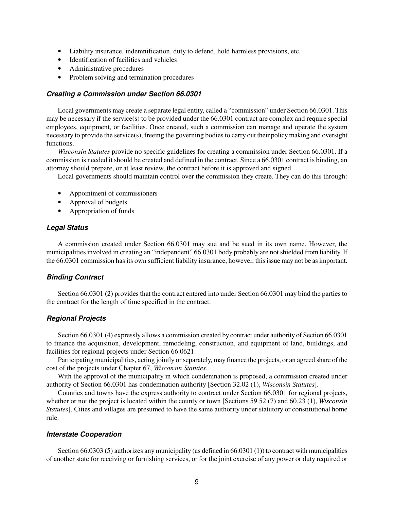- Liability insurance, indemnification, duty to defend, hold harmless provisions, etc.
- Identification of facilities and vehicles
- Administrative procedures
- Problem solving and termination procedures

#### *Creating a Commission under Section 66.0301*

Local governments may create a separate legal entity, called a "commission" under Section 66.0301. This may be necessary if the service(s) to be provided under the 66.0301 contract are complex and require special employees, equipment, or facilities. Once created, such a commission can manage and operate the system necessary to provide the service(s), freeing the governing bodies to carry out their policymaking and oversight functions.

*Wisconsin Statutes* provide no specific guidelines for creating a commission under Section 66.0301. If a commission is needed it should be created and defined in the contract. Since a 66.0301 contract is binding, an attorney should prepare, or at least review, the contract before it is approved and signed.

Local governments should maintain control over the commission they create. They can do this through:

- Appointment of commissioners
- Approval of budgets
- Appropriation of funds

#### *Legal Status*

A commission created under Section 66.0301 may sue and be sued in its own name. However, the municipalities involved in creating an "independent" 66.0301 body probably are not shielded from liability. If the 66.0301 commission has its own sufficient liability insurance, however, thisissue may not be asimportant.

# *Binding Contract*

Section 66.0301 (2) provides that the contract entered into under Section 66.0301 may bind the parties to the contract for the length of time specified in the contract.

# *Regional Projects*

Section 66.0301 (4) expressly allows a commission created by contract under authority of Section 66.0301 to finance the acquisition, development, remodeling, construction, and equipment of land, buildings, and facilities for regional projects under Section 66.0621.

Participating municipalities, acting jointly or separately, may finance the projects, or an agreed share of the cost of the projects under Chapter 67, *Wisconsin Statutes*.

With the approval of the municipality in which condemnation is proposed, a commission created under authority of Section 66.0301 has condemnation authority [Section 32.02 (1), *Wisconsin Statutes*].

Counties and towns have the express authority to contract under Section 66.0301 for regional projects, whether or not the project is located within the county or town [Sections 59.52 (7) and 60.23 (1), *Wisconsin Statutes*]. Cities and villages are presumed to have the same authority under statutory or constitutional home rule.

#### *Interstate Cooperation*

Section 66.0303 (5) authorizes any municipality (as defined in 66.0301 (1)) to contract with municipalities of another state for receiving or furnishing services, or for the joint exercise of any power or duty required or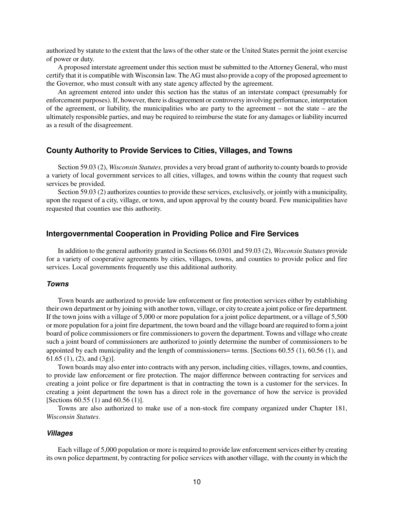authorized by statute to the extent that the laws of the other state or the United States permit the joint exercise of power or duty.

A proposed interstate agreement under this section must be submitted to the Attorney General, who must certify that it is compatible with Wisconsin law. The AG must also provide a copy of the proposed agreement to the Governor, who must consult with any state agency affected by the agreement.

An agreement entered into under this section has the status of an interstate compact (presumably for enforcement purposes). If, however, there is disagreement or controversy involving performance, interpretation of the agreement, or liability, the municipalities who are party to the agreement – not the state – are the ultimately responsible parties, and may be required to reimburse the state for any damages or liability incurred as a result of the disagreement.

#### **County Authority to Provide Services to Cities, Villages, and Towns**

Section 59.03 (2), *Wisconsin Statutes*, provides a very broad grant of authority to county boards to provide a variety of local government services to all cities, villages, and towns within the county that request such services be provided.

Section 59.03 (2) authorizes counties to provide these services, exclusively, or jointly with a municipality, upon the request of a city, village, or town, and upon approval by the county board. Few municipalities have requested that counties use this authority.

# **Intergovernmental Cooperation in Providing Police and Fire Services**

In addition to the general authority granted in Sections 66.0301 and 59.03 (2), *Wisconsin Statutes* provide for a variety of cooperative agreements by cities, villages, towns, and counties to provide police and fire services. Local governments frequently use this additional authority.

#### *Towns*

Town boards are authorized to provide law enforcement or fire protection services either by establishing their own department or by joining with another town, village, or city to create a joint police or fire department. If the town joins with a village of 5,000 or more population for a joint police department, or a village of 5,500 or more population for a joint fire department, the town board and the village board are required to form a joint board of police commissioners or fire commissioners to govern the department. Towns and village who create such a joint board of commissioners are authorized to jointly determine the number of commissioners to be appointed by each municipality and the length of commissioners= terms. [Sections 60.55 (1), 60.56 (1), and 61.65 (1), (2), and  $(3g)$ ].

Town boards may also enter into contracts with any person, including cities, villages, towns, and counties, to provide law enforcement or fire protection. The major difference between contracting for services and creating a joint police or fire department is that in contracting the town is a customer for the services. In creating a joint department the town has a direct role in the governance of how the service is provided [Sections 60.55 (1) and 60.56 (1)].

Towns are also authorized to make use of a non-stock fire company organized under Chapter 181, *Wisconsin Statutes*.

#### *Villages*

Each village of 5,000 population or more is required to provide law enforcement services either by creating its own police department, by contracting for police services with another village, with the county in which the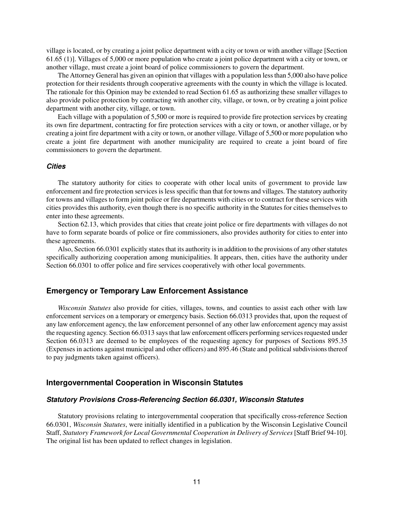village is located, or by creating a joint police department with a city or town or with another village [Section 61.65 (1)]. Villages of 5,000 or more population who create a joint police department with a city or town, or another village, must create a joint board of police commissioners to govern the department.

The Attorney General has given an opinion that villages with a population lessthan 5,000 also have police protection for their residents through cooperative agreements with the county in which the village is located. The rationale for this Opinion may be extended to read Section 61.65 as authorizing these smaller villages to also provide police protection by contracting with another city, village, or town, or by creating a joint police department with another city, village, or town.

Each village with a population of 5,500 or more is required to provide fire protection services by creating its own fire department, contracting for fire protection services with a city or town, or another village, or by creating a joint fire department with a city or town, or another village. Village of 5,500 or more population who create a joint fire department with another municipality are required to create a joint board of fire commissioners to govern the department.

#### *Cities*

The statutory authority for cities to cooperate with other local units of government to provide law enforcement and fire protection services is less specific than that for towns and villages. The statutory authority for towns and villages to form joint police or fire departments with cities or to contract for these services with cities provides this authority, even though there is no specific authority in the Statutes for cities themselves to enter into these agreements.

Section 62.13, which provides that cities that create joint police or fire departments with villages do not have to form separate boards of police or fire commissioners, also provides authority for cities to enter into these agreements.

Also, Section 66.0301 explicitly states that its authority is in addition to the provisions of any other statutes specifically authorizing cooperation among municipalities. It appears, then, cities have the authority under Section 66.0301 to offer police and fire services cooperatively with other local governments.

# **Emergency or Temporary Law Enforcement Assistance**

*Wisconsin Statutes* also provide for cities, villages, towns, and counties to assist each other with law enforcement services on a temporary or emergency basis. Section 66.0313 provides that, upon the request of any law enforcement agency, the law enforcement personnel of any other law enforcement agency may assist the requesting agency. Section 66.0313 says that law enforcement officers performing services requested under Section 66.0313 are deemed to be employees of the requesting agency for purposes of Sections 895.35 (Expenses in actions against municipal and other officers) and 895.46 (State and politicalsubdivisionsthereof to pay judgments taken against officers).

#### **Intergovernmental Cooperation in Wisconsin Statutes**

#### *Statutory Provisions Cross-Referencing Section 66.0301, Wisconsin Statutes*

Statutory provisions relating to intergovernmental cooperation that specifically cross-reference Section 66.0301, *Wisconsin Statutes*, were initially identified in a publication by the Wisconsin Legislative Council Staff, *Statutory Framework for Local Governmental Cooperation in Delivery of Services* [Staff Brief 94-10]. The original list has been updated to reflect changes in legislation.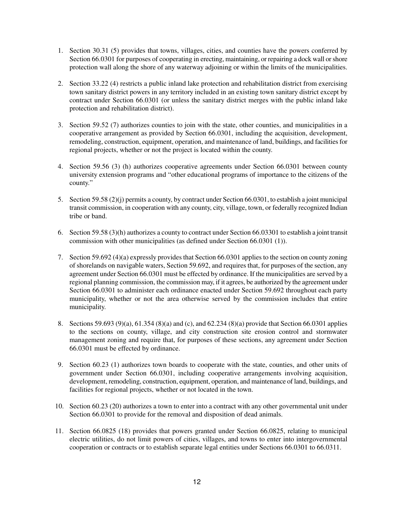- 1. Section 30.31 (5) provides that towns, villages, cities, and counties have the powers conferred by Section 66.0301 for purposes of cooperating in erecting, maintaining, or repairing a dock wall or shore protection wall along the shore of any waterway adjoining or within the limits of the municipalities.
- 2. Section 33.22 (4) restricts a public inland lake protection and rehabilitation district from exercising town sanitary district powers in any territory included in an existing town sanitary district except by contract under Section 66.0301 (or unless the sanitary district merges with the public inland lake protection and rehabilitation district).
- 3. Section 59.52 (7) authorizes counties to join with the state, other counties, and municipalities in a cooperative arrangement as provided by Section 66.0301, including the acquisition, development, remodeling, construction, equipment, operation, and maintenance of land, buildings, and facilities for regional projects, whether or not the project is located within the county.
- 4. Section 59.56 (3) (h) authorizes cooperative agreements under Section 66.0301 between county university extension programs and "other educational programs of importance to the citizens of the county."
- 5. Section 59.58 (2)(j) permits a county, by contract under Section 66.0301, to establish a joint municipal transit commission, in cooperation with any county, city, village, town, or federally recognized Indian tribe or band.
- 6. Section 59.58 (3)(h) authorizes a county to contract under Section 66.03301 to establish a joint transit commission with other municipalities (as defined under Section 66.0301 (1)).
- 7. Section 59.692 (4)(a) expressly provides that Section 66.0301 applies to the section on county zoning of shorelands on navigable waters, Section 59.692, and requires that, for purposes of the section, any agreement under Section 66.0301 must be effected by ordinance. If the municipalities are served by a regional planning commission, the commission may, if it agrees, be authorized by the agreement under Section 66.0301 to administer each ordinance enacted under Section 59.692 throughout each party municipality, whether or not the area otherwise served by the commission includes that entire municipality.
- 8. Sections 59.693 (9)(a), 61.354 (8)(a) and (c), and 62.234 (8)(a) provide that Section 66.0301 applies to the sections on county, village, and city construction site erosion control and stormwater management zoning and require that, for purposes of these sections, any agreement under Section 66.0301 must be effected by ordinance.
- 9. Section 60.23 (1) authorizes town boards to cooperate with the state, counties, and other units of government under Section 66.0301, including cooperative arrangements involving acquisition, development, remodeling, construction, equipment, operation, and maintenance of land, buildings, and facilities for regional projects, whether or not located in the town.
- 10. Section 60.23 (20) authorizes a town to enter into a contract with any other governmental unit under Section 66.0301 to provide for the removal and disposition of dead animals.
- 11. Section 66.0825 (18) provides that powers granted under Section 66.0825, relating to municipal electric utilities, do not limit powers of cities, villages, and towns to enter into intergovernmental cooperation or contracts or to establish separate legal entities under Sections 66.0301 to 66.0311.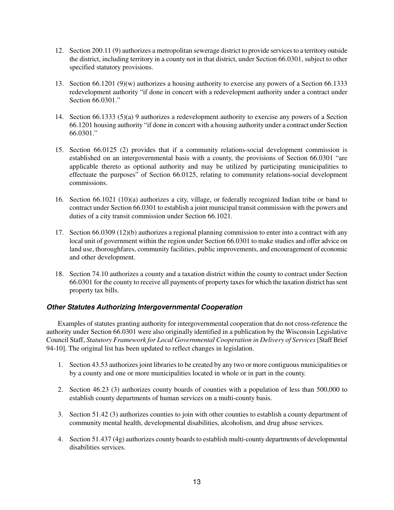- 12. Section 200.11 (9) authorizes a metropolitan sewerage district to provide servicesto a territory outside the district, including territory in a county not in that district, under Section 66.0301, subject to other specified statutory provisions.
- 13. Section 66.1201 (9)(w) authorizes a housing authority to exercise any powers of a Section 66.1333 redevelopment authority "if done in concert with a redevelopment authority under a contract under Section 66.0301."
- 14. Section 66.1333 (5)(a) 9 authorizes a redevelopment authority to exercise any powers of a Section 66.1201 housing authority "if done in concert with a housing authority under a contract under Section 66.0301."
- 15. Section 66.0125 (2) provides that if a community relations-social development commission is established on an intergovernmental basis with a county, the provisions of Section 66.0301 "are applicable thereto as optional authority and may be utilized by participating municipalities to effectuate the purposes" of Section 66.0125, relating to community relations-social development commissions.
- 16. Section 66.1021 (10)(a) authorizes a city, village, or federally recognized Indian tribe or band to contract under Section 66.0301 to establish a joint municipal transit commission with the powers and duties of a city transit commission under Section 66.1021.
- 17. Section 66.0309 (12)(b) authorizes a regional planning commission to enter into a contract with any local unit of government within the region under Section 66.0301 to make studies and offer advice on land use, thoroughfares, community facilities, public improvements, and encouragement of economic and other development.
- 18. Section 74.10 authorizes a county and a taxation district within the county to contract under Section 66.0301 for the county to receive all payments of property taxes for which the taxation district has sent property tax bills.

# *Other Statutes Authorizing Intergovernmental Cooperation*

Examples of statutes granting authority for intergovernmental cooperation that do not cross-reference the authority under Section 66.0301 were also originally identified in a publication by the Wisconsin Legislative Council Staff, *Statutory Framework for Local Governmental Cooperation in Delivery of Services* [Staff Brief 94-10]. The original list has been updated to reflect changes in legislation.

- 1. Section 43.53 authorizes joint libraries to be created by any two or more contiguous municipalities or by a county and one or more municipalities located in whole or in part in the county.
- 2. Section 46.23 (3) authorizes county boards of counties with a population of less than 500,000 to establish county departments of human services on a multi-county basis.
- 3. Section 51.42 (3) authorizes counties to join with other counties to establish a county department of community mental health, developmental disabilities, alcoholism, and drug abuse services.
- 4. Section 51.437 (4g) authorizes county boards to establish multi-county departments of developmental disabilities services.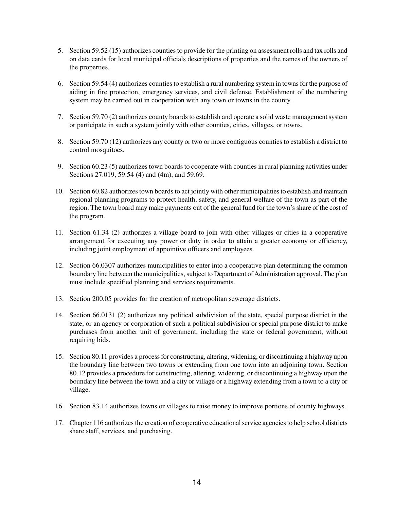- 5. Section 59.52 (15) authorizes counties to provide for the printing on assessment rolls and tax rolls and on data cards for local municipal officials descriptions of properties and the names of the owners of the properties.
- 6. Section 59.54 (4) authorizes counties to establish a rural numbering system in townsfor the purpose of aiding in fire protection, emergency services, and civil defense. Establishment of the numbering system may be carried out in cooperation with any town or towns in the county.
- 7. Section 59.70 (2) authorizes county boards to establish and operate a solid waste management system or participate in such a system jointly with other counties, cities, villages, or towns.
- 8. Section 59.70 (12) authorizes any county or two or more contiguous counties to establish a district to control mosquitoes.
- 9. Section 60.23 (5) authorizes town boards to cooperate with counties in rural planning activities under Sections 27.019, 59.54 (4) and (4m), and 59.69.
- 10. Section 60.82 authorizes town boards to act jointly with other municipalitiesto establish and maintain regional planning programs to protect health, safety, and general welfare of the town as part of the region. The town board may make payments out of the general fund for the town's share of the cost of the program.
- 11. Section 61.34 (2) authorizes a village board to join with other villages or cities in a cooperative arrangement for executing any power or duty in order to attain a greater economy or efficiency, including joint employment of appointive officers and employees.
- 12. Section 66.0307 authorizes municipalities to enter into a cooperative plan determining the common boundary line between the municipalities, subject to Department of Administration approval. The plan must include specified planning and services requirements.
- 13. Section 200.05 provides for the creation of metropolitan sewerage districts.
- 14. Section 66.0131 (2) authorizes any political subdivision of the state, special purpose district in the state, or an agency or corporation of such a political subdivision or special purpose district to make purchases from another unit of government, including the state or federal government, without requiring bids.
- 15. Section 80.11 provides a processfor constructing, altering, widening, or discontinuing a highway upon the boundary line between two towns or extending from one town into an adjoining town. Section 80.12 provides a procedure for constructing, altering, widening, or discontinuing a highway upon the boundary line between the town and a city or village or a highway extending from a town to a city or village.
- 16. Section 83.14 authorizes towns or villages to raise money to improve portions of county highways.
- 17. Chapter 116 authorizes the creation of cooperative educationalservice agenciesto help school districts share staff, services, and purchasing.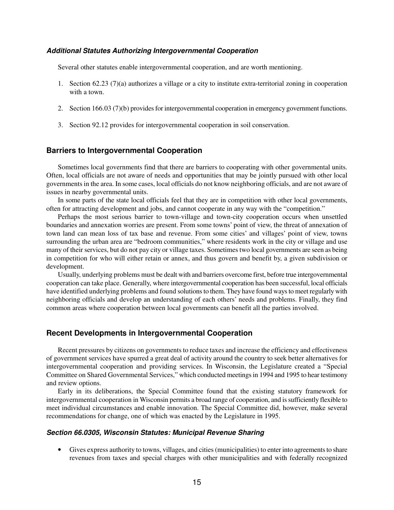#### *Additional Statutes Authorizing Intergovernmental Cooperation*

Several other statutes enable intergovernmental cooperation, and are worth mentioning.

- 1. Section 62.23 (7)(a) authorizes a village or a city to institute extra-territorial zoning in cooperation with a town.
- 2. Section 166.03 (7)(b) provides for intergovernmental cooperation in emergency government functions.
- 3. Section 92.12 provides for intergovernmental cooperation in soil conservation.

### **Barriers to Intergovernmental Cooperation**

Sometimes local governments find that there are barriers to cooperating with other governmental units. Often, local officials are not aware of needs and opportunities that may be jointly pursued with other local governments in the area. In some cases, local officials do not know neighboring officials, and are not aware of issues in nearby governmental units.

In some parts of the state local officials feel that they are in competition with other local governments, often for attracting development and jobs, and cannot cooperate in any way with the "competition."

Perhaps the most serious barrier to town-village and town-city cooperation occurs when unsettled boundaries and annexation worries are present. From some towns' point of view, the threat of annexation of town land can mean loss of tax base and revenue. From some cities' and villages' point of view, towns surrounding the urban area are "bedroom communities," where residents work in the city or village and use many of their services, but do not pay city or village taxes. Sometimes two local governments are seen as being in competition for who will either retain or annex, and thus govern and benefit by, a given subdivision or development.

Usually, underlying problems must be dealt with and barriers overcome first, before true intergovernmental cooperation can take place. Generally, where intergovernmental cooperation has been successful, local officials have identified underlying problems and found solutionsto them. They have found waysto meet regularly with neighboring officials and develop an understanding of each others' needs and problems. Finally, they find common areas where cooperation between local governments can benefit all the parties involved.

#### **Recent Developments in Intergovernmental Cooperation**

Recent pressures by citizens on governments to reduce taxes and increase the efficiency and effectiveness of government services have spurred a great deal of activity around the country to seek better alternatives for intergovernmental cooperation and providing services. In Wisconsin, the Legislature created a "Special Committee on Shared Governmental Services," which conducted meetingsin 1994 and 1995 to hear testimony and review options.

Early in its deliberations, the Special Committee found that the existing statutory framework for intergovernmental cooperation in Wisconsin permits a broad range of cooperation, and issufficiently flexible to meet individual circumstances and enable innovation. The Special Committee did, however, make several recommendations for change, one of which was enacted by the Legislature in 1995.

#### *Section 66.0305, Wisconsin Statutes: Municipal Revenue Sharing*

• Gives express authority to towns, villages, and cities (municipalities) to enter into agreements to share revenues from taxes and special charges with other municipalities and with federally recognized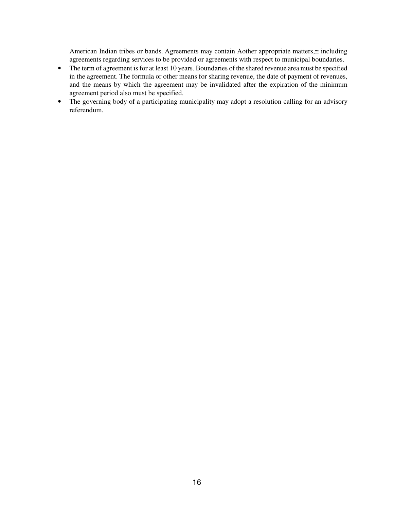American Indian tribes or bands. Agreements may contain Aother appropriate matters,≅ including agreements regarding services to be provided or agreements with respect to municipal boundaries.

- The term of agreement is for at least 10 years. Boundaries of the shared revenue area must be specified in the agreement. The formula or other means for sharing revenue, the date of payment of revenues, and the means by which the agreement may be invalidated after the expiration of the minimum agreement period also must be specified.
- The governing body of a participating municipality may adopt a resolution calling for an advisory referendum.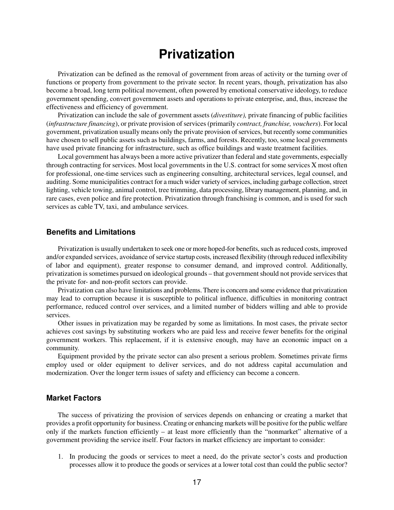# **Privatization**

Privatization can be defined as the removal of government from areas of activity or the turning over of functions or property from government to the private sector. In recent years, though, privatization has also become a broad, long term political movement, often powered by emotional conservative ideology, to reduce government spending, convert government assets and operations to private enterprise, and, thus, increase the effectiveness and efficiency of government.

Privatization can include the sale of government assets (*divestiture),* private financing of public facilities (*infrastructure financing*), or private provision of services (primarily *contract, franchise, vouchers*). For local government, privatization usually means only the private provision of services, but recently some communities have chosen to sell public assets such as buildings, farms, and forests. Recently, too, some local governments have used private financing for infrastructure, such as office buildings and waste treatment facilities.

Local government has always been a more active privatizer than federal and state governments, especially through contracting for services. Most local governments in the U.S. contract for some services Χ most often for professional, one-time services such as engineering consulting, architectural services, legal counsel, and auditing. Some municipalities contract for a much wider variety of services, including garbage collection, street lighting, vehicle towing, animal control, tree trimming, data processing, librarymanagement, planning, and, in rare cases, even police and fire protection. Privatization through franchising is common, and is used for such services as cable TV, taxi, and ambulance services.

# **Benefits and Limitations**

Privatization is usually undertaken to seek one or more hoped-for benefits, such as reduced costs, improved and/or expanded services, avoidance of service startup costs, increased flexibility (through reduced inflexibility of labor and equipment), greater response to consumer demand, and improved control. Additionally, privatization is sometimes pursued on ideological grounds – that government should not provide services that the private for- and non-profit sectors can provide.

Privatization can also have limitations and problems. There is concern and some evidence that privatization may lead to corruption because it is susceptible to political influence, difficulties in monitoring contract performance, reduced control over services, and a limited number of bidders willing and able to provide services.

Other issues in privatization may be regarded by some as limitations. In most cases, the private sector achieves cost savings by substituting workers who are paid less and receive fewer benefits for the original government workers. This replacement, if it is extensive enough, may have an economic impact on a community.

Equipment provided by the private sector can also present a serious problem. Sometimes private firms employ used or older equipment to deliver services, and do not address capital accumulation and modernization. Over the longer term issues of safety and efficiency can become a concern.

#### **Market Factors**

The success of privatizing the provision of services depends on enhancing or creating a market that provides a profit opportunity for business. Creating or enhancing markets will be positive for the public welfare only if the markets function efficiently – at least more efficiently than the "nonmarket" alternative of a government providing the service itself. Four factors in market efficiency are important to consider:

1. In producing the goods or services to meet a need, do the private sector's costs and production processes allow it to produce the goods or services at a lower total cost than could the public sector?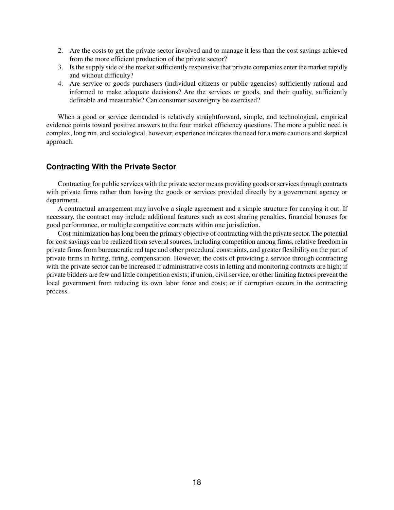- 2. Are the costs to get the private sector involved and to manage it less than the cost savings achieved from the more efficient production of the private sector?
- 3. Is the supply side of the market sufficiently responsive that private companies enter the market rapidly and without difficulty?
- 4. Are service or goods purchasers (individual citizens or public agencies) sufficiently rational and informed to make adequate decisions? Are the services or goods, and their quality, sufficiently definable and measurable? Can consumer sovereignty be exercised?

When a good or service demanded is relatively straightforward, simple, and technological, empirical evidence points toward positive answers to the four market efficiency questions. The more a public need is complex, long run, and sociological, however, experience indicates the need for a more cautious and skeptical approach.

# **Contracting With the Private Sector**

Contracting for public services with the private sector means providing goods or services through contracts with private firms rather than having the goods or services provided directly by a government agency or department.

A contractual arrangement may involve a single agreement and a simple structure for carrying it out. If necessary, the contract may include additional features such as cost sharing penalties, financial bonuses for good performance, or multiple competitive contracts within one jurisdiction.

Cost minimization has long been the primary objective of contracting with the private sector. The potential for cost savings can be realized from several sources, including competition among firms, relative freedom in private firms from bureaucratic red tape and other procedural constraints, and greater flexibility on the part of private firms in hiring, firing, compensation. However, the costs of providing a service through contracting with the private sector can be increased if administrative costs in letting and monitoring contracts are high; if private bidders are few and little competition exists; if union, civil service, or other limiting factors prevent the local government from reducing its own labor force and costs; or if corruption occurs in the contracting process.